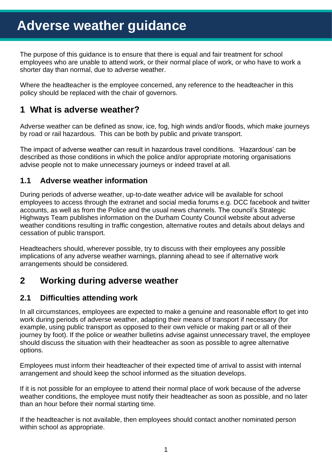The purpose of this guidance is to ensure that there is equal and fair treatment for school employees who are unable to attend work, or their normal place of work, or who have to work a shorter day than normal, due to adverse weather.

Where the headteacher is the employee concerned, any reference to the headteacher in this policy should be replaced with the chair of governors.

## **1 What is adverse weather?**

Adverse weather can be defined as snow, ice, fog, high winds and/or floods, which make journeys by road or rail hazardous. This can be both by public and private transport.

The impact of adverse weather can result in hazardous travel conditions. 'Hazardous' can be described as those conditions in which the police and/or appropriate motoring organisations advise people not to make unnecessary journeys or indeed travel at all.

#### **1.1 Adverse weather information**

During periods of adverse weather, up-to-date weather advice will be available for school employees to access through the extranet and social media forums e.g. DCC facebook and twitter accounts, as well as from the Police and the usual news channels. The council's Strategic Highways Team publishes information on the Durham County Council website about adverse weather conditions resulting in traffic congestion, alternative routes and details about delays and cessation of public transport.

Headteachers should, wherever possible, try to discuss with their employees any possible implications of any adverse weather warnings, planning ahead to see if alternative work arrangements should be considered.

# **2 Working during adverse weather**

#### **2.1 Difficulties attending work**

In all circumstances, employees are expected to make a genuine and reasonable effort to get into work during periods of adverse weather, adapting their means of transport if necessary (for example, using public transport as opposed to their own vehicle or making part or all of their journey by foot). If the police or weather bulletins advise against unnecessary travel, the employee should discuss the situation with their headteacher as soon as possible to agree alternative options.

Employees must inform their headteacher of their expected time of arrival to assist with internal arrangement and should keep the school informed as the situation develops.

If it is not possible for an employee to attend their normal place of work because of the adverse weather conditions, the employee must notify their headteacher as soon as possible, and no later than an hour before their normal starting time.

If the headteacher is not available, then employees should contact another nominated person within school as appropriate.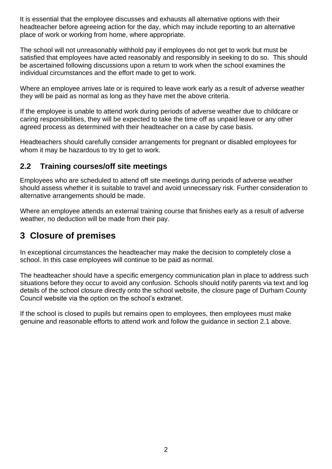It is essential that the employee discusses and exhausts all alternative options with their headteacher before agreeing action for the day, which may include reporting to an alternative place of work or working from home, where appropriate.

The school will not unreasonably withhold pay if employees do not get to work but must be satisfied that employees have acted reasonably and responsibly in seeking to do so. This should be ascertained following discussions upon a return to work when the school examines the individual circumstances and the effort made to get to work.

Where an employee arrives late or is required to leave work early as a result of adverse weather they will be paid as normal as long as they have met the above criteria.

If the employee is unable to attend work during periods of adverse weather due to childcare or caring responsibilities, they will be expected to take the time off as unpaid leave or any other agreed process as determined with their headteacher on a case by case basis.

Headteachers should carefully consider arrangements for pregnant or disabled employees for whom it may be hazardous to try to get to work.

#### **2.2 Training courses/off site meetings**

Employees who are scheduled to attend off site meetings during periods of adverse weather should assess whether it is suitable to travel and avoid unnecessary risk. Further consideration to alternative arrangements should be made.

Where an employee attends an external training course that finishes early as a result of adverse weather, no deduction will be made from their pay.

## **3 Closure of premises**

In exceptional circumstances the headteacher may make the decision to completely close a school. In this case employees will continue to be paid as normal.

The headteacher should have a specific emergency communication plan in place to address such situations before they occur to avoid any confusion. Schools should notify parents via text and log details of the school closure directly onto the school website, the closure page of Durham County Council website via the option on the school's extranet.

If the school is closed to pupils but remains open to employees, then employees must make genuine and reasonable efforts to attend work and follow the guidance in section 2.1 above.